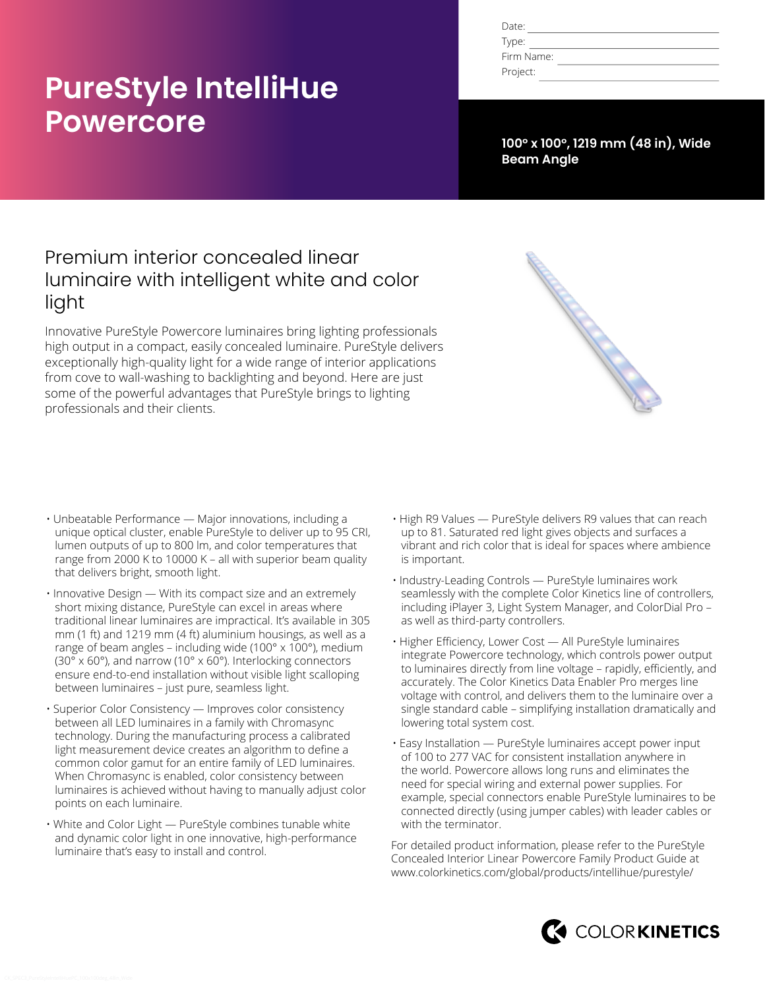# **PureStyle IntelliHue Powercore**

| Date:      |  |
|------------|--|
| Type:      |  |
| Firm Name: |  |
| Project:   |  |

**100° x 100°, 1219 mm (48 in), Wide Beam Angle**

## Premium interior concealed linear luminaire with intelligent white and color light

Innovative PureStyle Powercore luminaires bring lighting professionals high output in a compact, easily concealed luminaire. PureStyle delivers exceptionally high-quality light for a wide range of interior applications from cove to wall-washing to backlighting and beyond. Here are just some of the powerful advantages that PureStyle brings to lighting professionals and their clients.



- Unbeatable Performance Major innovations, including a unique optical cluster, enable PureStyle to deliver up to 95 CRI, lumen outputs of up to 800 lm, and color temperatures that range from 2000 K to 10000 K – all with superior beam quality that delivers bright, smooth light.
- Innovative Design With its compact size and an extremely short mixing distance, PureStyle can excel in areas where traditional linear luminaires are impractical. It's available in 305 mm (1 ft) and 1219 mm (4 ft) aluminium housings, as well as a range of beam angles – including wide (100° x 100°), medium (30° x 60°), and narrow (10° x 60°). Interlocking connectors ensure end-to-end installation without visible light scalloping between luminaires – just pure, seamless light.
- Superior Color Consistency Improves color consistency between all LED luminaires in a family with Chromasync technology. During the manufacturing process a calibrated light measurement device creates an algorithm to define a common color gamut for an entire family of LED luminaires. When Chromasync is enabled, color consistency between luminaires is achieved without having to manually adjust color points on each luminaire.
- White and Color Light PureStyle combines tunable white and dynamic color light in one innovative, high-performance luminaire that's easy to install and control.
- High R9 Values PureStyle delivers R9 values that can reach up to 81. Saturated red light gives objects and surfaces a vibrant and rich color that is ideal for spaces where ambience is important.
- Industry-Leading Controls PureStyle luminaires work seamlessly with the complete Color Kinetics line of controllers, including iPlayer 3, Light System Manager, and ColorDial Pro – as well as third-party controllers.
- Higher Efficiency, Lower Cost All PureStyle luminaires integrate Powercore technology, which controls power output to luminaires directly from line voltage – rapidly, efficiently, and accurately. The Color Kinetics Data Enabler Pro merges line voltage with control, and delivers them to the luminaire over a single standard cable – simplifying installation dramatically and lowering total system cost.
- Easy Installation PureStyle luminaires accept power input of 100 to 277 VAC for consistent installation anywhere in the world. Powercore allows long runs and eliminates the need for special wiring and external power supplies. For example, special connectors enable PureStyle luminaires to be connected directly (using jumper cables) with leader cables or with the terminator.

For detailed product information, please refer to the PureStyle Concealed Interior Linear Powercore Family Product Guide at [www.colorkinetics.com/global/products/intellihue/purestyle/](http://www.colorkinetics.com/global/products/intellihue/purestyle/)

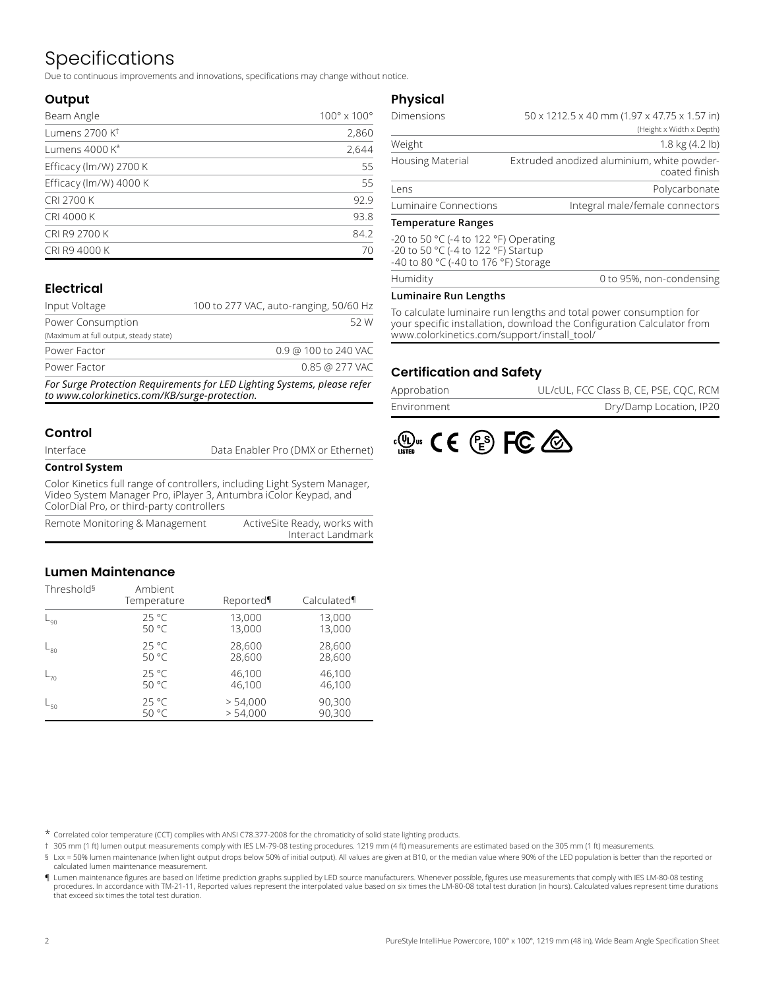## Specifications

Due to continuous improvements and innovations, specifications may change without notice.

#### **Output**

| Beam Angle                 | $100^\circ \times 100^\circ$ |
|----------------------------|------------------------------|
| Lumens 2700 K <sup>t</sup> | 2,860                        |
| Lumens 4000 K*             | 2,644                        |
| Efficacy (lm/W) 2700 K     | 55                           |
| Efficacy (lm/W) 4000 K     | 55                           |
| <b>CRI 2700 K</b>          | 92.9                         |
| CRI 4000 K                 | 93.8                         |
| CRI R9 2700 K              | 84.2                         |
| CRI R9 4000 K              | 70                           |

### **Electrical**

| Input Voltage                          | 100 to 277 VAC, auto-ranging, 50/60 Hz |                      |      |
|----------------------------------------|----------------------------------------|----------------------|------|
| Power Consumption                      |                                        |                      | 52 W |
| (Maximum at full output, steady state) |                                        |                      |      |
| Power Factor                           |                                        | 0.9 @ 100 to 240 VAC |      |
| Power Factor                           |                                        | 0.85 @ 277 VAC       |      |
|                                        |                                        |                      |      |

*For Surge Protection Requirements for LED Lighting Systems, please refer to www.colorkinetics.com/KB/surge-protection.*

#### **Control**

| Interface |  |
|-----------|--|
|-----------|--|

Data Enabler Pro (DMX or Ethernet)

#### **Control System**

Color Kinetics full range of controllers, including Light System Manager, Video System Manager Pro, iPlayer 3, Antumbra iColor Keypad, and ColorDial Pro, or third-party controllers

| Remote Monitoring & Management | ActiveSite Ready, works with |
|--------------------------------|------------------------------|
|                                | Interact Landmark            |

#### **Lumen Maintenance**

| Threshold <sup>§</sup> | Ambient<br>Temperature | Reported | Calculated |
|------------------------|------------------------|----------|------------|
| $_{\mathsf{L}_{90}}$   | $25^{\circ}$ C         | 13,000   | 13,000     |
|                        | 50 °C                  | 13,000   | 13,000     |
| $L_{80}$               | $25^{\circ}$ C         | 28,600   | 28,600     |
|                        | 50 °C                  | 28,600   | 28,600     |
| $L_{70}$               | $25^{\circ}$ C         | 46,100   | 46,100     |
|                        | 50 °C                  | 46,100   | 46,100     |
| $L_{50}$               | $25^{\circ}$ C         | > 54,000 | 90,300     |
|                        | 50 °C                  | > 54,000 | 90,300     |

#### **Physical**

| Dimensions              | $50 \times 1212.5 \times 40$ mm (1.97 x 47.75 x 1.57 in)    |  |  |  |  |
|-------------------------|-------------------------------------------------------------|--|--|--|--|
|                         | (Height x Width x Depth)                                    |  |  |  |  |
| Weight                  | $1.8 \text{ kg} (4.2 \text{ lb})$                           |  |  |  |  |
| <b>Housing Material</b> | Extruded anodized aluminium, white powder-<br>coated finish |  |  |  |  |
| Lens                    | Polycarbonate                                               |  |  |  |  |
| Luminaire Connections   | Integral male/female connectors                             |  |  |  |  |

#### **Temperature Ranges**

-20 to 50 °C (-4 to 122 °F) Operating -20 to 50 °C (-4 to 122 °F) Startup -40 to 80 °C (-40 to 176 °F) Storage

#### **Luminaire Run Lengths**

**Humidity** 

To calculate luminaire run lengths and total power consumption for your specific installation, download the Configuration Calculator from www.colorkinetics.com/support/install\_tool/

#### **Certification and Safety**

| Approbation | UL/cUL, FCC Class B, CE, PSE, COC, RCM |
|-------------|----------------------------------------|
| Environment | Dry/Damp Location, IP20                |



\* Correlated color temperature (CCT) complies with ANSI C78.377-2008 for the chromaticity of solid state lighting products.

† 305 mm (1 ft) lumen output measurements comply with IES LM-79-08 testing procedures. 1219 mm (4 ft) measurements are estimated based on the 305 mm (1 ft) measurements.

§ Lxx = 50% lumen maintenance (when light output drops below 50% of initial output). All values are given at B10, or the median value where 90% of the LED population is better than the reported or calculated lumen maintenance measurement.

¶ Lumen maintenance figures are based on lifetime prediction graphs supplied by LED source manufacturers. Whenever possible, figures use measurements that comply with IES LM-80-08 testing procedures. In accordance with TM-21-11, Reported values represent the interpolated value based on six times the LM-80-08 total test duration (in hours). Calculated values represent time durations that exceed six times the total test duration.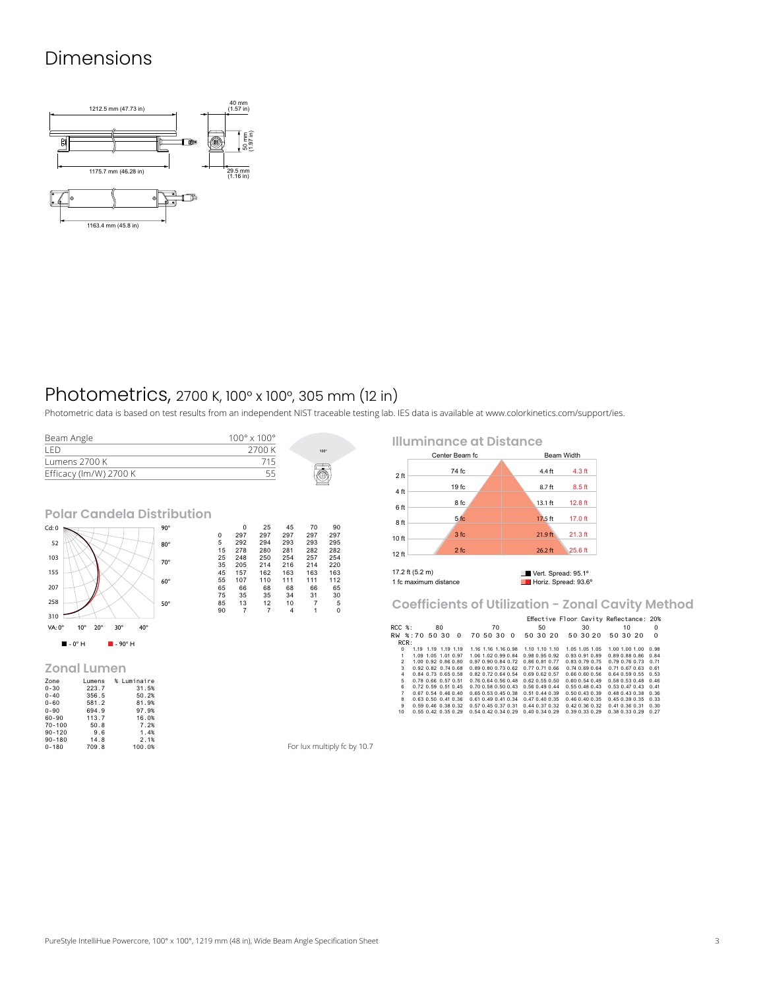### Dimensions



### Photometrics, 2700 K, 100° x 100°, 305 mm (12 in)

Photometric data is based on test results from an independent NIST traceable testing lab. IES data is available at [www.colorkinetics.com/support/ies.](http://www.colorkinetics.com/support/ies)

| Beam Angle             | $100^{\circ}$ x $100^{\circ}$ |      |
|------------------------|-------------------------------|------|
| I FD.                  | 2700 K                        | 100° |
| Lumens 2700 K          | 715                           |      |
| Efficacy (lm/W) 2700 K |                               |      |
|                        |                               |      |

**Polar Candela Distribution**



#### **Zonal Lumen**

| Zone       | Lumens | % Luminaire |
|------------|--------|-------------|
| $0 - 30$   | 223.7  | 31.5%       |
| $0 - 40$   | 356.5  | 50.2%       |
| $0 - 60$   | 581.2  | 81.9%       |
| $0 - 90$   | 694.9  | 97.9%       |
| 60-90      | 113.7  | 16.0%       |
| $70 - 100$ | 50.8   | 7.2%        |
| $90 - 120$ | 9.6    | 1.4%        |
| $90 - 180$ | 14.8   | 2.1%        |
| $0 - 180$  | 709.8  | 100.0%      |

**Illuminance at Distance** Center Beam fc 2 ft 4 ft 6 ft 8 ft 10 ft 12 ft 74 fc 19 fc 8 fc 5 fc 3 fc 2 fc 4.4 ft 8.7 ft 13.1 ft 17.5 ft 21.9 ft 26.2 ft 4.3 ft 8.5 ft 12.8 ft 17.0 ft 21.3 ft 25.6 ft 17.2 ft (5.2 m) Vert. Spread: 95.1º<br>1 fc maximum distance Israel: 93.6º 1 fc maximum distance

**Coefficients of Utilization - Zonal Cavity Method**

|                |                 |                             |    |                     |                             |                     |    |                     |                                    |          | Effective Floor Cavity Reflectance: 20% |          |              |                             |    |                             |          |
|----------------|-----------------|-----------------------------|----|---------------------|-----------------------------|---------------------|----|---------------------|------------------------------------|----------|-----------------------------------------|----------|--------------|-----------------------------|----|-----------------------------|----------|
| RCC %:         |                 |                             | 80 |                     |                             |                     | 70 |                     |                                    | 50       |                                         | 30       |              |                             | 10 |                             | $\Omega$ |
|                | RW %:70 50 30 0 |                             |    |                     |                             | 70 50 30 0          |    |                     |                                    | 50 30 20 |                                         | 50 30 20 |              | 50 30 20                    |    |                             | $\Omega$ |
|                | RCR:            |                             |    |                     |                             |                     |    |                     |                                    |          |                                         |          |              |                             |    |                             |          |
| $\Omega$       |                 | 1.19 1.19 1.19 1.19         |    |                     |                             | 1.16 1.16 1.16 0.98 |    |                     | 1.10 1.10 1.10                     |          | 1.05 1.05 1.05                          |          |              |                             |    | 1.00 1.00 1.00 0.98         |          |
| 1              |                 | 1.09 1.05 1.01 0.97         |    |                     |                             |                     |    | 1.06 1.02 0.99 0.84 | 0.98 0.95 0.92                     |          | 0.93 0.91 0.89                          |          |              |                             |    | 0.89 0.88 0.86 0.84         |          |
| $\mathfrak{D}$ |                 | 1.00 0.92 0.86 0.80         |    |                     | 0.97 0.90 0.84 0.72         |                     |    |                     | 0.86 0.81 0.77                     |          | $0.83$ $0.79$ $0.75$                    |          |              |                             |    | 0.79 0.76 0.73 0.71         |          |
| 3              |                 | 0.92 0.82 0.74 0.68         |    |                     | 0.89 0.80 0.73 0.62         |                     |    |                     | 0.77 0.71 0.66                     |          | 0.740.690.64                            |          |              |                             |    | 0.71 0.67 0.63 0.61         |          |
| 4              |                 | 0.84 0.73 0.65 0.58         |    |                     |                             |                     |    | 0.82 0.72 0.64 0.54 | 0.69 0.62 0.57                     |          | 0.660.600.56                            |          |              |                             |    | $0.64$ $0.59$ $0.55$ $0.53$ |          |
| 5              |                 | 0.78 0.66 0.57 0.51         |    |                     | 0.76 0.64 0.56 0.48         |                     |    |                     | $0.62$ $0.55$ $0.50$               |          | $0.60$ $0.54$ $0.49$                    |          |              | $0.58$ $0.53$ $0.48$ $0.46$ |    |                             |          |
| 6              |                 | $0.72$ $0.59$ $0.51$ $0.45$ |    |                     | $0.70$ $0.58$ $0.50$ $0.43$ |                     |    |                     | 0.560.490.44                       |          | 0.550.480.43                            |          |              |                             |    | $0.53$ $0.47$ $0.43$ $0.41$ |          |
| $\overline{7}$ |                 | 0.67 0.54 0.46 0.40         |    |                     | 0.65 0.53 0.45 0.38         |                     |    |                     | $0.51$ $0.44$ $0.39$               |          | 0.50 0.43 0.39                          |          |              | 0.48 0.43 0.38 0.36         |    |                             |          |
| 8              |                 | 0.63 0.50 0.41 0.36         |    |                     | 0.61 0.49 0.41 0.34         |                     |    |                     | $0.47$ $0.40$ $0.35$               |          | $0.46$ $0.40$ $0.35$                    |          |              |                             |    | 0.45 0.39 0.35 0.33         |          |
| 9              |                 | 0.59 0.46 0.38 0.32         |    |                     | 0.57 0.45 0.37 0.31         |                     |    |                     | $0.44$ $0.37$ $0.32$               |          | $0.42$ $0.36$ $0.32$                    |          |              |                             |    | $0.41$ $0.36$ $0.31$ $0.30$ |          |
| 10             |                 |                             |    | 0.55 0.42 0.35 0.29 |                             |                     |    |                     | 0.54 0.42 0.34 0.29 0.40 0.34 0.29 |          |                                         |          | 0.390.330.29 | 0.38 0.33 0.29 0.27         |    |                             |          |

For lux multiply fc by 10.7